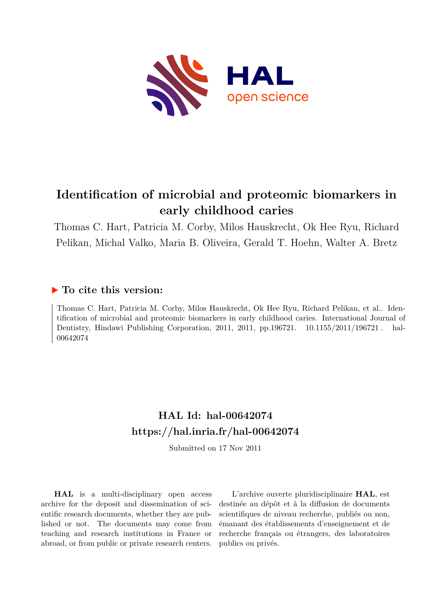

# **Identification of microbial and proteomic biomarkers in early childhood caries**

Thomas C. Hart, Patricia M. Corby, Milos Hauskrecht, Ok Hee Ryu, Richard Pelikan, Michal Valko, Maria B. Oliveira, Gerald T. Hoehn, Walter A. Bretz

## **To cite this version:**

Thomas C. Hart, Patricia M. Corby, Milos Hauskrecht, Ok Hee Ryu, Richard Pelikan, et al.. Identification of microbial and proteomic biomarkers in early childhood caries. International Journal of Dentistry, Hindawi Publishing Corporation, 2011, 2011, pp.196721. 10.1155/2011/196721. hal-00642074ff

# **HAL Id: hal-00642074 <https://hal.inria.fr/hal-00642074>**

Submitted on 17 Nov 2011

**HAL** is a multi-disciplinary open access archive for the deposit and dissemination of scientific research documents, whether they are published or not. The documents may come from teaching and research institutions in France or abroad, or from public or private research centers.

L'archive ouverte pluridisciplinaire **HAL**, est destinée au dépôt et à la diffusion de documents scientifiques de niveau recherche, publiés ou non, émanant des établissements d'enseignement et de recherche français ou étrangers, des laboratoires publics ou privés.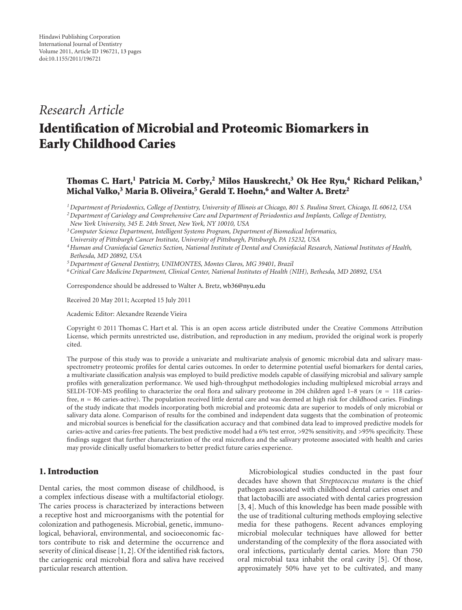## *Research Article*

# Identification of Microbial and Proteomic Biomarkers in Early Childhood Caries

### Thomas C. Hart,<sup>1</sup> Patricia M. Corby,<sup>2</sup> Milos Hauskrecht,<sup>3</sup> Ok Hee Ryu,<sup>4</sup> Richard Pelikan,<sup>3</sup> Michal Valko,<sup>3</sup> Maria B. Oliveira,<sup>5</sup> Gerald T. Hoehn,<sup>6</sup> and Walter A. Bretz<sup>2</sup>

*<sup>1</sup>Department of Periodontics, College of Dentistry, University of Illinois at Chicago, 801 S. Paulina Street, Chicago, IL 60612, USA*

*<sup>3</sup>Computer Science Department, Intelligent Systems Program, Department of Biomedical Informatics,*

*University of Pittsburgh Cancer Institute, University of Pittsburgh, Pittsburgh, PA 15232, USA*

*<sup>4</sup>Human and Craniofacial Genetics Section, National Institute of Dental and Craniofacial Research, National Institutes of Health, Bethesda, MD 20892, USA*

*<sup>5</sup>Department of General Dentistry, UNIMONTES, Montes Claros, MG 39401, Brazil*

*<sup>6</sup>Critical Care Medicine Department, Clinical Center, National Institutes of Health (NIH), Bethesda, MD 20892, USA*

Correspondence should be addressed to Walter A. Bretz, wb36@nyu.edu

Received 20 May 2011; Accepted 15 July 2011

Academic Editor: Alexandre Rezende Vieira

Copyright © 2011 Thomas C. Hart et al. This is an open access article distributed under the Creative Commons Attribution License, which permits unrestricted use, distribution, and reproduction in any medium, provided the original work is properly cited.

The purpose of this study was to provide a univariate and multivariate analysis of genomic microbial data and salivary massspectrometry proteomic profiles for dental caries outcomes. In order to determine potential useful biomarkers for dental caries, a multivariate classification analysis was employed to build predictive models capable of classifying microbial and salivary sample profiles with generalization performance. We used high-throughput methodologies including multiplexed microbial arrays and SELDI-TOF-MS profiling to characterize the oral flora and salivary proteome in 204 children aged 1–8 years (*n* = 118 cariesfree,  $n = 86$  caries-active). The population received little dental care and was deemed at high risk for childhood caries. Findings of the study indicate that models incorporating both microbial and proteomic data are superior to models of only microbial or salivary data alone. Comparison of results for the combined and independent data suggests that the combination of proteomic and microbial sources is beneficial for the classification accuracy and that combined data lead to improved predictive models for caries-active and caries-free patients. The best predictive model had a 6% test error, *>*92% sensitivity, and *>*95% specificity. These findings suggest that further characterization of the oral microflora and the salivary proteome associated with health and caries may provide clinically useful biomarkers to better predict future caries experience.

#### 1. Introduction

Dental caries, the most common disease of childhood, is a complex infectious disease with a multifactorial etiology. The caries process is characterized by interactions between a receptive host and microorganisms with the potential for colonization and pathogenesis. Microbial, genetic, immunological, behavioral, environmental, and socioeconomic factors contribute to risk and determine the occurrence and severity of clinical disease [1, 2]. Of the identified risk factors, the cariogenic oral microbial flora and saliva have received particular research attention.

Microbiological studies conducted in the past four decades have shown that *Streptococcus mutans* is the chief pathogen associated with childhood dental caries onset and that lactobacilli are associated with dental caries progression [3, 4]. Much of this knowledge has been made possible with the use of traditional culturing methods employing selective media for these pathogens. Recent advances employing microbial molecular techniques have allowed for better understanding of the complexity of the flora associated with oral infections, particularly dental caries. More than 750 oral microbial taxa inhabit the oral cavity [5]. Of those, approximately 50% have yet to be cultivated, and many

*<sup>2</sup>Department of Cariology and Comprehensive Care and Department of Periodontics and Implants, College of Dentistry,*

*New York University, 345 E. 24th Street, New York, NY 10010, USA*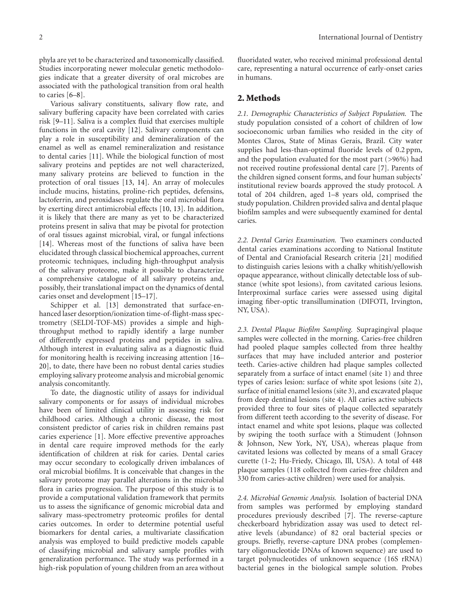phyla are yet to be characterized and taxonomically classified. Studies incorporating newer molecular genetic methodologies indicate that a greater diversity of oral microbes are associated with the pathological transition from oral health to caries [6–8].

Various salivary constituents, salivary flow rate, and salivary buffering capacity have been correlated with caries risk [9–11]. Saliva is a complex fluid that exercises multiple functions in the oral cavity [12]. Salivary components can play a role in susceptibility and demineralization of the enamel as well as enamel remineralization and resistance to dental caries [11]. While the biological function of most salivary proteins and peptides are not well characterized, many salivary proteins are believed to function in the protection of oral tissues [13, 14]. An array of molecules include mucins, histatins, proline-rich peptides, defensins, lactoferrin, and peroxidases regulate the oral microbial flora by exerting direct antimicrobial effects [10, 13]. In addition, it is likely that there are many as yet to be characterized proteins present in saliva that may be pivotal for protection of oral tissues against microbial, viral, or fungal infections [14]. Whereas most of the functions of saliva have been elucidated through classical biochemical approaches, current proteomic techniques, including high-throughput analysis of the salivary proteome, make it possible to characterize a comprehensive catalogue of all salivary proteins and, possibly, their translational impact on the dynamics of dental caries onset and development [15–17].

Schipper et al. [13] demonstrated that surface-enhanced laser desorption/ionization time-of-flight-mass spectrometry (SELDI-TOF-MS) provides a simple and highthroughput method to rapidly identify a large number of differently expressed proteins and peptides in saliva. Although interest in evaluating saliva as a diagnostic fluid for monitoring health is receiving increasing attention [16– 20], to date, there have been no robust dental caries studies employing salivary proteome analysis and microbial genomic analysis concomitantly.

To date, the diagnostic utility of assays for individual salivary components or for assays of individual microbes have been of limited clinical utility in assessing risk for childhood caries. Although a chronic disease, the most consistent predictor of caries risk in children remains past caries experience [1]. More effective preventive approaches in dental care require improved methods for the early identification of children at risk for caries. Dental caries may occur secondary to ecologically driven imbalances of oral microbial biofilms. It is conceivable that changes in the salivary proteome may parallel alterations in the microbial flora in caries progression. The purpose of this study is to provide a computational validation framework that permits us to assess the significance of genomic microbial data and salivary mass-spectrometry proteomic profiles for dental caries outcomes. In order to determine potential useful biomarkers for dental caries, a multivariate classification analysis was employed to build predictive models capable of classifying microbial and salivary sample profiles with generalization performance. The study was performed in a high-risk population of young children from an area without

fluoridated water, who received minimal professional dental care, representing a natural occurrence of early-onset caries in humans.

#### 2. Methods

*2.1. Demographic Characteristics of Subject Population.* The study population consisted of a cohort of children of low socioeconomic urban families who resided in the city of Montes Claros, State of Minas Gerais, Brazil. City water supplies had less-than-optimal fluoride levels of 0.2 ppm, and the population evaluated for the most part (*>*96%) had not received routine professional dental care [7]. Parents of the children signed consent forms, and four human subjects' institutional review boards approved the study protocol. A total of 204 children, aged 1–8 years old, comprised the study population. Children provided saliva and dental plaque biofilm samples and were subsequently examined for dental caries.

*2.2. Dental Caries Examination.* Two examiners conducted dental caries examinations according to National Institute of Dental and Craniofacial Research criteria [21] modified to distinguish caries lesions with a chalky whitish/yellowish opaque appearance, without clinically detectable loss of substance (white spot lesions), from cavitated carious lesions. Interproximal surface caries were assessed using digital imaging fiber-optic transillumination (DIFOTI, Irvington, NY, USA).

*2.3. Dental Plaque Biofilm Sampling.* Supragingival plaque samples were collected in the morning. Caries-free children had pooled plaque samples collected from three healthy surfaces that may have included anterior and posterior teeth. Caries-active children had plaque samples collected separately from a surface of intact enamel (site 1) and three types of caries lesion: surface of white spot lesions (site 2), surface of initial enamel lesions (site 3), and excavated plaque from deep dentinal lesions (site 4). All caries active subjects provided three to four sites of plaque collected separately from different teeth according to the severity of disease. For intact enamel and white spot lesions, plaque was collected by swiping the tooth surface with a Stimudent (Johnson & Johnson, New York, NY, USA), whereas plaque from cavitated lesions was collected by means of a small Gracey curette (1-2; Hu-Friedy, Chicago, Ill, USA). A total of 448 plaque samples (118 collected from caries-free children and 330 from caries-active children) were used for analysis.

*2.4. Microbial Genomic Analysis.* Isolation of bacterial DNA from samples was performed by employing standard procedures previously described [7]. The reverse-capture checkerboard hybridization assay was used to detect relative levels (abundance) of 82 oral bacterial species or groups. Briefly, reverse-capture DNA probes (complementary oligonucleotide DNAs of known sequence) are used to target polynucleotides of unknown sequence (16S rRNA) bacterial genes in the biological sample solution. Probes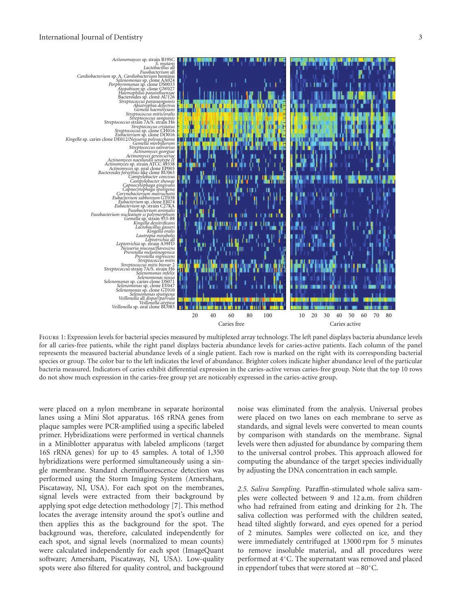

Figure 1: Expression levels for bacterial species measured by multiplexed array technology. The left panel displays bacteria abundance levels for all caries-free patients, while the right panel displays bacteria abundance levels for caries-active patients. Each column of the panel represents the measured bacterial abundance levels of a single patient. Each row is marked on the right with its corresponding bacterial species or group. The color bar to the left indicates the level of abundance. Brighter colors indicate higher abundance level of the particular bacteria measured. Indicators of caries exhibit differential expression in the caries-active versus caries-free group. Note that the top 10 rows do not show much expression in the caries-free group yet are noticeably expressed in the caries-active group.

were placed on a nylon membrane in separate horizontal lanes using a Mini Slot apparatus. 16S rRNA genes from plaque samples were PCR-amplified using a specific labeled primer. Hybridizations were performed in vertical channels in a Miniblotter apparatus with labeled amplicons (target 16S rRNA genes) for up to 45 samples. A total of 1,350 hybridizations were performed simultaneously using a single membrane. Standard chemifluorescence detection was performed using the Storm Imaging System (Amersham, Piscataway, NJ, USA). For each spot on the membranes, signal levels were extracted from their background by applying spot edge detection methodology [7]. This method locates the average intensity around the spot's outline and then applies this as the background for the spot. The background was, therefore, calculated independently for each spot, and signal levels (normalized to mean counts) were calculated independently for each spot (ImageQuant software; Amersham, Piscataway, NJ, USA). Low-quality spots were also filtered for quality control, and background

noise was eliminated from the analysis. Universal probes were placed on two lanes on each membrane to serve as standards, and signal levels were converted to mean counts by comparison with standards on the membrane. Signal levels were then adjusted for abundance by comparing them to the universal control probes. This approach allowed for computing the abundance of the target species individually by adjusting the DNA concentration in each sample.

*2.5. Saliva Sampling.* Paraffin-stimulated whole saliva samples were collected between 9 and 12 a.m. from children who had refrained from eating and drinking for 2 h. The saliva collection was performed with the children seated, head tilted slightly forward, and eyes opened for a period of 2 minutes. Samples were collected on ice, and they were immediately centrifuged at 13000 rpm for 5 minutes to remove insoluble material, and all procedures were performed at 4◦C. The supernatant was removed and placed in eppendorf tubes that were stored at −80◦C.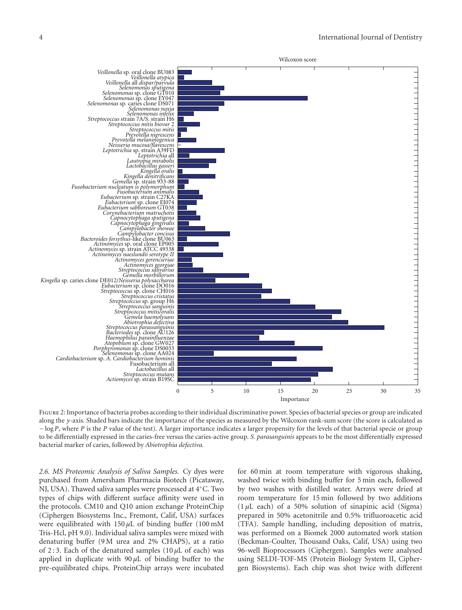

Figure 2: Importance of bacteria probes according to their individual discriminative power. Species of bacterial species or group are indicated along the *y*-axis. Shaded bars indicate the importance of the species as measured by the Wilcoxon rank-sum score (the score is calculated as − log *P*, where *P* is the *P* value of the test). A larger importance indicates a larger propensity for the levels of that bacterial specie or group to be differentially expressed in the caries-free versus the caries-active group. *S. parasanguinis* appears to be the most differentially expressed bacterial marker of caries, followed by *Abiotrophia defectiva.*

*2.6. MS Proteomic Analysis of Saliva Samples.* Cy dyes were purchased from Amersham Pharmacia Biotech (Picataway, NJ, USA). Thawed saliva samples were processed at 4◦C. Two types of chips with different surface affinity were used in the protocols. CM10 and Q10 anion exchange ProteinChip (Ciphergen Biosystems Inc., Fremont, Calif, USA) surfaces were equilibrated with  $150 \mu L$  of binding buffer (100 mM) Tris-Hcl, pH 9.0). Individual saliva samples were mixed with denaturing buffer (9 M urea and 2% CHAPS), at a ratio of 2:3. Each of the denatured samples  $(10 \mu L)$  of each) was applied in duplicate with  $90 \mu L$  of binding buffer to the pre-equilibrated chips. ProteinChip arrays were incubated

for 60 min at room temperature with vigorous shaking, washed twice with binding buffer for 5 min each, followed by two washes with distilled water. Arrays were dried at room temperature for 15 min followed by two additions (1 *µ*L each) of a 50% solution of sinapinic acid (Sigma) prepared in 50% acetonitrile and 0.5% trifluoroacetic acid (TFA). Sample handling, including deposition of matrix, was performed on a Biomek 2000 automated work station (Beckman-Coulter, Thousand Oaks, Calif, USA) using two 96-well Bioprocessors (Ciphergen). Samples were analysed using SELDI-TOF-MS (Protein Biology System II, Ciphergen Biosystems). Each chip was shot twice with different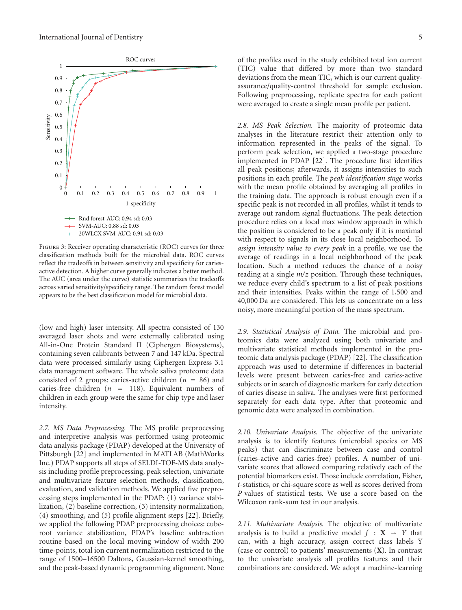

Figure 3: Receiver operating characteristic (ROC) curves for three classification methods built for the microbial data. ROC curves reflect the tradeoffs in between sensitivity and specificity for cariesactive detection. A higher curve generally indicates a better method. The AUC (area under the curve) statistic summarizes the tradeoffs across varied sensitivity/specificity range. The random forest model appears to be the best classification model for microbial data.

(low and high) laser intensity. All spectra consisted of 130 averaged laser shots and were externally calibrated using All-in-One Protein Standard II (Ciphergen Biosystems), containing seven calibrants between 7 and 147 kDa. Spectral data were processed similarly using Ciphergen Express 3.1 data management software. The whole saliva proteome data consisted of 2 groups: caries-active children (*n* = 86) and caries-free children  $(n = 118)$ . Equivalent numbers of children in each group were the same for chip type and laser intensity.

*2.7. MS Data Preprocessing.* The MS profile preprocessing and interpretive analysis was performed using proteomic data analysis package (PDAP) developed at the University of Pittsburgh [22] and implemented in MATLAB (MathWorks Inc.) PDAP supports all steps of SELDI-TOF-MS data analysis including profile preprocessing, peak selection, univariate and multivariate feature selection methods, classification, evaluation, and validation methods. We applied five preprocessing steps implemented in the PDAP: (1) variance stabilization, (2) baseline correction, (3) intensity normalization, (4) smoothing, and (5) profile alignment steps [22]. Briefly, we applied the following PDAP preprocessing choices: cuberoot variance stabilization, PDAP's baseline subtraction routine based on the local moving window of width 200 time-points, total ion current normalization restricted to the range of 1500–16500 Daltons, Gaussian-kernel smoothing, and the peak-based dynamic programming alignment. None

of the profiles used in the study exhibited total ion current (TIC) value that differed by more than two standard deviations from the mean TIC, which is our current qualityassurance/quality-control threshold for sample exclusion. Following preprocessing, replicate spectra for each patient were averaged to create a single mean profile per patient.

*2.8. MS Peak Selection.* The majority of proteomic data analyses in the literature restrict their attention only to information represented in the peaks of the signal. To perform peak selection, we applied a two-stage procedure implemented in PDAP [22]. The procedure first identifies all peak positions; afterwards, it assigns intensities to such positions in each profile. The *peak identification stage* works with the mean profile obtained by averaging all profiles in the training data. The approach is robust enough even if a specific peak is not recorded in all profiles, whilst it tends to average out random signal fluctuations. The peak detection procedure relies on a local max window approach in which the position is considered to be a peak only if it is maximal with respect to signals in its close local neighborhood. To *assign intensity value to every peak* in a profile, we use the average of readings in a local neighborhood of the peak location. Such a method reduces the chance of a noisy reading at a single *m/z* position. Through these techniques, we reduce every child's spectrum to a list of peak positions and their intensities. Peaks within the range of 1,500 and 40,000 Da are considered. This lets us concentrate on a less noisy, more meaningful portion of the mass spectrum.

*2.9. Statistical Analysis of Data.* The microbial and proteomics data were analyzed using both univariate and multivariate statistical methods implemented in the proteomic data analysis package (PDAP) [22]. The classification approach was used to determine if differences in bacterial levels were present between caries-free and caries-active subjects or in search of diagnostic markers for early detection of caries disease in saliva. The analyses were first performed separately for each data type. After that proteomic and genomic data were analyzed in combination.

*2.10. Univariate Analysis.* The objective of the univariate analysis is to identify features (microbial species or MS peaks) that can discriminate between case and control (caries-active and caries-free) profiles. A number of univariate scores that allowed comparing relatively each of the potential biomarkers exist. Those include correlation, Fisher, *t*-statistics, or chi-square score as well as scores derived from *P* values of statistical tests. We use a score based on the Wilcoxon rank-sum test in our analysis.

*2.11. Multivariate Analysis.* The objective of multivariate analysis is to build a predictive model  $f : \mathbf{X} \rightarrow Y$  that can, with a high accuracy, assign correct class labels Y (case or control) to patients' measurements (**X**). In contrast to the univariate analysis all profiles features and their combinations are considered. We adopt a machine-learning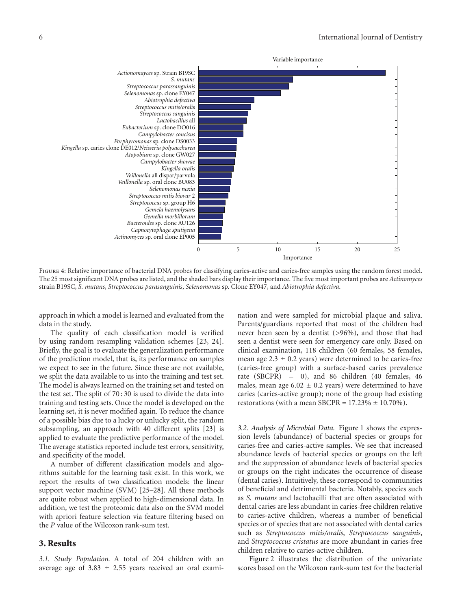

Figure 4: Relative importance of bacterial DNA probes for classifying caries-active and caries-free samples using the random forest model. The 25 most significant DNA probes are listed, and the shaded bars display their importance. The five most important probes are *Actinomyces* strain B19SC, *S. mutans*, *Streptococcus parasanguinis*, *Selenomonas* sp. Clone EY047, and *Abiotrophia defectiva*.

approach in which a model is learned and evaluated from the data in the study.

The quality of each classification model is verified by using random resampling validation schemes [23, 24]. Briefly, the goal is to evaluate the generalization performance of the prediction model, that is, its performance on samples we expect to see in the future. Since these are not available, we split the data available to us into the training and test set. The model is always learned on the training set and tested on the test set. The split of 70 : 30 is used to divide the data into training and testing sets. Once the model is developed on the learning set, it is never modified again. To reduce the chance of a possible bias due to a lucky or unlucky split, the random subsampling, an approach with 40 different splits [23] is applied to evaluate the predictive performance of the model. The average statistics reported include test errors, sensitivity, and specificity of the model.

A number of different classification models and algorithms suitable for the learning task exist. In this work, we report the results of two classification models: the linear support vector machine (SVM) [25–28]. All these methods are quite robust when applied to high-dimensional data. In addition, we test the proteomic data also on the SVM model with apriori feature selection via feature filtering based on the *P* value of the Wilcoxon rank-sum test.

#### 3. Results

*3.1. Study Population.* A total of 204 children with an average age of 3.83  $\pm$  2.55 years received an oral examination and were sampled for microbial plaque and saliva. Parents/guardians reported that most of the children had never been seen by a dentist (*>*96%), and those that had seen a dentist were seen for emergency care only. Based on clinical examination, 118 children (60 females, 58 females, mean age  $2.3 \pm 0.2$  years) were determined to be caries-free (caries-free group) with a surface-based caries prevalence rate (SBCPR) = 0), and 86 children (40 females, 46 males, mean age  $6.02 \pm 0.2$  years) were determined to have caries (caries-active group); none of the group had existing restorations (with a mean SBCPR =  $17.23\% \pm 10.70\%$ ).

*3.2. Analysis of Microbial Data.* Figure 1 shows the expression levels (abundance) of bacterial species or groups for caries-free and caries-active samples. We see that increased abundance levels of bacterial species or groups on the left and the suppression of abundance levels of bacterial species or groups on the right indicates the occurrence of disease (dental caries). Intuitively, these correspond to communities of beneficial and detrimental bacteria. Notably, species such as *S. mutans* and lactobacilli that are often associated with dental caries are less abundant in caries-free children relative to caries-active children, whereas a number of beneficial species or of species that are not associated with dental caries such as *Streptococcus mitis/oralis*, *Streptococcus sanguinis*, and *Streptococcus cristatus* are more abundant in caries-free children relative to caries-active children.

Figure 2 illustrates the distribution of the univariate scores based on the Wilcoxon rank-sum test for the bacterial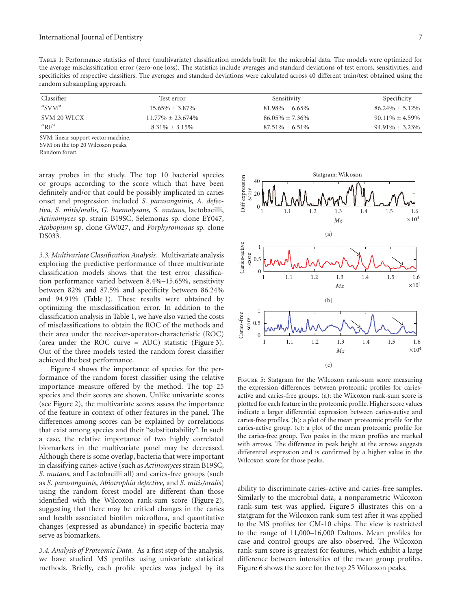Table 1: Performance statistics of three (multivariate) classification models built for the microbial data. The models were optimized for the average misclassification error (zero-one loss). The statistics include averages and standard deviations of test errors, sensitivities, and specificities of respective classifiers. The averages and standard deviations were calculated across 40 different train/test obtained using the random subsampling approach.

| Classifier  | Test error           | Sensitivity          | Specificity          |
|-------------|----------------------|----------------------|----------------------|
| "SVM"       | $15.65\% + 3.87\%$   | $81.98\% \pm 6.65\%$ | $86.24\% + 5.12\%$   |
| SVM 20 WLCX | $11.77\% + 23.674\%$ | $86.05\% + 7.36\%$   | $90.11\% + 4.59\%$   |
| R F''       | $8.31\% + 3.15\%$    | $87.51\% + 6.51\%$   | $94.91\% \pm 3.23\%$ |

SVM: linear support vector machine. SVM on the top 20 Wilcoxon peaks.

Random forest.

array probes in the study. The top 10 bacterial species or groups according to the score which that have been definitely and/or that could be possibly implicated in caries onset and progression included *S. parasanguinis, A. defectiva, S. mitis/oralis, G. haemolysans, S. mutans*, lactobacilli, *Actinomyces* sp. strain B19SC, Selemonas sp. clone EY047, *Atobopium* sp. clone GW027, and *Porphyromonas* sp. clone DS033.

*3.3. Multivariate Classification Analysis.* Multivariate analysis exploring the predictive performance of three multivariate classification models shows that the test error classification performance varied between 8.4%–15.65%, sensitivity between 82% and 87.5% and specificity between 86.24% and 94.91% (Table 1). These results were obtained by optimizing the misclassification error. In addition to the classification analysis in Table 1, we have also varied the costs of misclassifications to obtain the ROC of the methods and their area under the receiver-operator-characteristic (ROC) (area under the ROC curve = AUC) statistic (Figure 3). Out of the three models tested the random forest classifier achieved the best performance.

Figure 4 shows the importance of species for the performance of the random forest classifier using the relative importance measure offered by the method. The top 25 species and their scores are shown. Unlike univariate scores (see Figure 2), the multivariate scores assess the importance of the feature in context of other features in the panel. The differences among scores can be explained by correlations that exist among species and their "substitutability". In such a case, the relative importance of two highly correlated biomarkers in the multivariate panel may be decreased. Although there is some overlap, bacteria that were important in classifying caries-active (such as *Actinomyces* strain B19SC, *S. mutans*, and Lactobacilli all) and caries-free groups (such as *S*. *parasanguinis*, *Abiotrophia defective*, and *S. mitis/oralis*) using the random forest model are different than those identified with the Wilcoxon rank-sum score (Figure 2), suggesting that there may be critical changes in the caries and health associated biofilm microflora, and quantitative changes (expressed as abundance) in specific bacteria may serve as biomarkers.

*3.4. Analysis of Proteomic Data.* As a first step of the analysis, we have studied MS profiles using univariate statistical methods. Briefly, each profile species was judged by its



Figure 5: Statgram for the Wilcoxon rank-sum score measuring the expression differences between proteomic profiles for cariesactive and caries-free groups. (a): the Wilcoxon rank-sum score is plotted for each feature in the proteomic profile. Higher score values indicate a larger differential expression between caries-active and caries-free profiles. (b): a plot of the mean proteomic profile for the caries-active group. (c): a plot of the mean proteomic profile for the caries-free group. Two peaks in the mean profiles are marked with arrows. The difference in peak height at the arrows suggests differential expression and is confirmed by a higher value in the Wilcoxon score for those peaks.

ability to discriminate caries-active and caries-free samples. Similarly to the microbial data, a nonparametric Wilcoxon rank-sum test was applied. Figure 5 illustrates this on a statgram for the Wilcoxon rank-sum test after it was applied to the MS profiles for CM-10 chips. The view is restricted to the range of 11,000–16,000 Daltons. Mean profiles for case and control groups are also observed. The Wilcoxon rank-sum score is greatest for features, which exhibit a large difference between intensities of the mean group profiles. Figure 6 shows the score for the top 25 Wilcoxon peaks.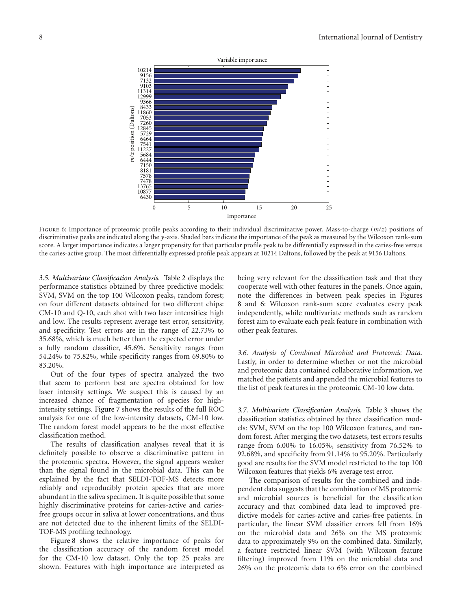

Figure 6: Importance of proteomic profile peaks according to their individual discriminative power. Mass-to-charge (*m/z*) positions of discriminative peaks are indicated along the *y*-axis. Shaded bars indicate the importance of the peak as measured by the Wilcoxon rank-sum score. A larger importance indicates a larger propensity for that particular profile peak to be differentially expressed in the caries-free versus the caries-active group. The most differentially expressed profile peak appears at 10214 Daltons, followed by the peak at 9156 Daltons.

*3.5. Multivariate Classification Analysis.* Table 2 displays the performance statistics obtained by three predictive models: SVM, SVM on the top 100 Wilcoxon peaks, random forest; on four different datasets obtained for two different chips: CM-10 and Q-10, each shot with two laser intensities: high and low. The results represent average test error, sensitivity, and specificity. Test errors are in the range of 22.73% to 35.68%, which is much better than the expected error under a fully random classifier, 45.6%. Sensitivity ranges from 54.24% to 75.82%, while specificity ranges from 69.80% to 83.20%.

Out of the four types of spectra analyzed the two that seem to perform best are spectra obtained for low laser intensity settings. We suspect this is caused by an increased chance of fragmentation of species for highintensity settings. Figure 7 shows the results of the full ROC analysis for one of the low-intensity datasets, CM-10 low. The random forest model appears to be the most effective classification method.

The results of classification analyses reveal that it is definitely possible to observe a discriminative pattern in the proteomic spectra. However, the signal appears weaker than the signal found in the microbial data. This can be explained by the fact that SELDI-TOF-MS detects more reliably and reproducibly protein species that are more abundant in the saliva specimen. It is quite possible that some highly discriminative proteins for caries-active and cariesfree groups occur in saliva at lower concentrations, and thus are not detected due to the inherent limits of the SELDI-TOF-MS profiling technology.

Figure 8 shows the relative importance of peaks for the classification accuracy of the random forest model for the CM-10 low dataset. Only the top 25 peaks are shown. Features with high importance are interpreted as

being very relevant for the classification task and that they cooperate well with other features in the panels. Once again, note the differences in between peak species in Figures 8 and 6: Wilcoxon rank-sum score evaluates every peak independently, while multivariate methods such as random forest aim to evaluate each peak feature in combination with other peak features.

*3.6. Analysis of Combined Microbial and Proteomic Data.* Lastly, in order to determine whether or not the microbial and proteomic data contained collaborative information, we matched the patients and appended the microbial features to the list of peak features in the proteomic CM-10 low data.

*3.7. Multivariate Classification Analysis.* Table 3 shows the classification statistics obtained by three classification models: SVM, SVM on the top 100 Wilcoxon features, and random forest. After merging the two datasets, test errors results range from 6.00% to 16.05%, sensitivity from 76.52% to 92.68%, and specificity from 91.14% to 95.20%. Particularly good are results for the SVM model restricted to the top 100 Wilcoxon features that yields 6% average test error.

The comparison of results for the combined and independent data suggests that the combination of MS proteomic and microbial sources is beneficial for the classification accuracy and that combined data lead to improved predictive models for caries-active and caries-free patients. In particular, the linear SVM classifier errors fell from 16% on the microbial data and 26% on the MS proteomic data to approximately 9% on the combined data. Similarly, a feature restricted linear SVM (with Wilcoxon feature filtering) improved from 11% on the microbial data and 26% on the proteomic data to 6% error on the combined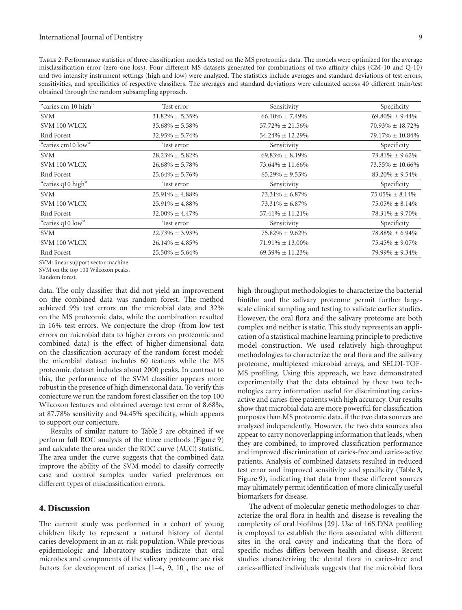Table 2: Performance statistics of three classification models tested on the MS proteomics data. The models were optimized for the average misclassification error (zero-one loss). Four different MS datasets generated for combinations of two affinity chips (CM-10 and Q-10) and two intensity instrument settings (high and low) were analyzed. The statistics include averages and standard deviations of test errors, sensitivities, and specificities of respective classifiers. The averages and standard deviations were calculated across 40 different train/test obtained through the random subsampling approach.

| Test error           | Sensitivity           | Specificity           |
|----------------------|-----------------------|-----------------------|
| $31.82\% \pm 5.35\%$ | $66.10\% \pm 7.49\%$  | $69.80\% \pm 9.44\%$  |
| $35.68\% \pm 5.58\%$ | $57.72\% \pm 21.56\%$ | $70.93\% \pm 18.72\%$ |
| $32.95\% \pm 5.74\%$ | $54.24\% \pm 12.29\%$ | $79.17\% \pm 10.84\%$ |
| Test error           | Sensitivity           | Specificity           |
| $28.23\% \pm 5.82\%$ | $69.83\% \pm 8.19\%$  | $73.81\% \pm 9.62\%$  |
| $26.68\% \pm 5.78\%$ | $73.64\% \pm 11.66\%$ | $73.55\% \pm 10.66\%$ |
| $25.64\% \pm 5.76\%$ | $65.29\% \pm 9.55\%$  | $83.20\% \pm 9.54\%$  |
| Test error           | Sensitivity           | Specificity           |
| $25.91\% \pm 4.88\%$ | $73.31\% \pm 6.87\%$  | $75.05\% \pm 8.14\%$  |
| $25.91\% \pm 4.88\%$ | $73.31\% \pm 6.87\%$  | $75.05\% \pm 8.14\%$  |
| $32.00\% \pm 4.47\%$ | $57.41\% \pm 11.21\%$ | $78.31\% \pm 9.70\%$  |
| Test error           | Sensitivity           | Specificity           |
| $22.73\% \pm 3.93\%$ | $75.82\% \pm 9.62\%$  | $78.88\% \pm 6.94\%$  |
| $26.14\% \pm 4.85\%$ | $71.91\% \pm 13.00\%$ | $75.45\% \pm 9.07\%$  |
| $25.50\% \pm 5.64\%$ | $69.39\% \pm 11.23\%$ | $79.99\% \pm 9.34\%$  |
|                      |                       |                       |

SVM: linear support vector machine.

SVM on the top 100 Wilcoxon peaks.

Random forest.

data. The only classifier that did not yield an improvement on the combined data was random forest. The method achieved 9% test errors on the microbial data and 32% on the MS proteomic data, while the combination resulted in 16% test errors. We conjecture the drop (from low test errors on microbial data to higher errors on proteomic and combined data) is the effect of higher-dimensional data on the classification accuracy of the random forest model: the microbial dataset includes 60 features while the MS proteomic dataset includes about 2000 peaks. In contrast to this, the performance of the SVM classifier appears more robust in the presence of high dimensional data. To verify this conjecture we run the random forest classifier on the top 100 Wilcoxon features and obtained average test error of 8.68%, at 87.78% sensitivity and 94.45% specificity, which appears to support our conjecture.

Results of similar nature to Table 3 are obtained if we perform full ROC analysis of the three methods (Figure 9) and calculate the area under the ROC curve (AUC) statistic. The area under the curve suggests that the combined data improve the ability of the SVM model to classify correctly case and control samples under varied preferences on different types of misclassification errors.

### 4. Discussion

The current study was performed in a cohort of young children likely to represent a natural history of dental caries development in an at-risk population. While previous epidemiologic and laboratory studies indicate that oral microbes and components of the salivary proteome are risk factors for development of caries [1–4, 9, 10], the use of high-throughput methodologies to characterize the bacterial biofilm and the salivary proteome permit further largescale clinical sampling and testing to validate earlier studies. However, the oral flora and the salivary proteome are both complex and neither is static. This study represents an application of a statistical machine learning principle to predictive model construction. We used relatively high-throughput methodologies to characterize the oral flora and the salivary proteome, multiplexed microbial arrays, and SELDI-TOF-MS profiling. Using this approach, we have demonstrated experimentally that the data obtained by these two technologies carry information useful for discriminating cariesactive and caries-free patients with high accuracy. Our results show that microbial data are more powerful for classification purposes than MS proteomic data, if the two data sources are analyzed independently. However, the two data sources also appear to carry nonoverlapping information that leads, when they are combined, to improved classification performance and improved discrimination of caries-free and caries-active patients. Analysis of combined datasets resulted in reduced test error and improved sensitivity and specificity (Table 3, Figure 9), indicating that data from these different sources may ultimately permit identification of more clinically useful biomarkers for disease.

The advent of molecular genetic methodologies to characterize the oral flora in health and disease is revealing the complexity of oral biofilms [29]. Use of 16S DNA profiling is employed to establish the flora associated with different sites in the oral cavity and indicating that the flora of specific niches differs between health and disease. Recent studies characterizing the dental flora in caries-free and caries-afflicted individuals suggests that the microbial flora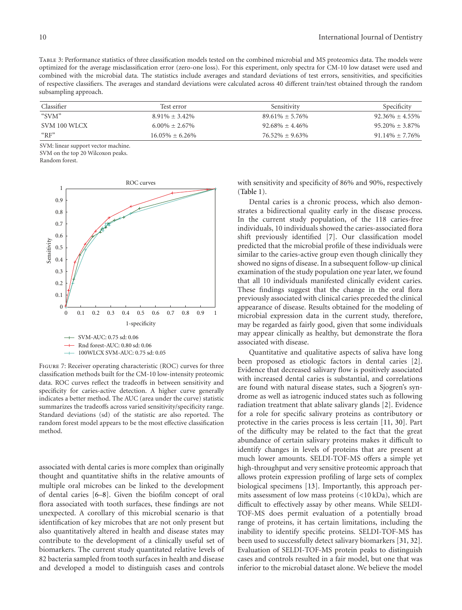Table 3: Performance statistics of three classification models tested on the combined microbial and MS proteomics data. The models were optimized for the average misclassification error (zero-one loss). For this experiment, only spectra for CM-10 low dataset were used and combined with the microbial data. The statistics include averages and standard deviations of test errors, sensitivities, and specificities of respective classifiers. The averages and standard deviations were calculated across 40 different train/test obtained through the random subsampling approach.

| Classifier   | Test error         | Sensitivity          | Specificity          |
|--------------|--------------------|----------------------|----------------------|
| "SVM"        | $8.91\% + 3.42\%$  | $89.61\% \pm 5.76\%$ | $92.36\% \pm 4.55\%$ |
| SVM 100 WLCX | $6.00\% + 2.67\%$  | $92.68\% \pm 4.46\%$ | $95.20\% \pm 3.87\%$ |
| "RF"         | $16.05\% + 6.26\%$ | $76.52\% + 9.63\%$   | $91.14\% \pm 7.76\%$ |
|              |                    |                      |                      |

SVM: linear support vector machine. SVM on the top 20 Wilcoxon peaks. Random forest.



Figure 7: Receiver operating characteristic (ROC) curves for three classification methods built for the CM-10 low-intensity proteomic data. ROC curves reflect the tradeoffs in between sensitivity and specificity for caries-active detection. A higher curve generally indicates a better method. The AUC (area under the curve) statistic summarizes the tradeoffs across varied sensitivity/specificity range. Standard deviations (sd) of the statistic are also reported. The random forest model appears to be the most effective classification method.

associated with dental caries is more complex than originally thought and quantitative shifts in the relative amounts of multiple oral microbes can be linked to the development of dental caries [6–8]. Given the biofilm concept of oral flora associated with tooth surfaces, these findings are not unexpected. A corollary of this microbial scenario is that identification of key microbes that are not only present but also quantitatively altered in health and disease states may contribute to the development of a clinically useful set of biomarkers. The current study quantitated relative levels of 82 bacteria sampled from tooth surfaces in health and disease and developed a model to distinguish cases and controls

with sensitivity and specificity of 86% and 90%, respectively (Table 1).

Dental caries is a chronic process, which also demonstrates a bidirectional quality early in the disease process. In the current study population, of the 118 caries-free individuals, 10 individuals showed the caries-associated flora shift previously identified [7]. Our classification model predicted that the microbial profile of these individuals were similar to the caries-active group even though clinically they showed no signs of disease. In a subsequent follow-up clinical examination of the study population one year later, we found that all 10 individuals manifested clinically evident caries. These findings suggest that the change in the oral flora previously associated with clinical caries preceded the clinical appearance of disease. Results obtained for the modeling of microbial expression data in the current study, therefore, may be regarded as fairly good, given that some individuals may appear clinically as healthy, but demonstrate the flora associated with disease.

Quantitative and qualitative aspects of saliva have long been proposed as etiologic factors in dental caries [2]. Evidence that decreased salivary flow is positively associated with increased dental caries is substantial, and correlations are found with natural disease states, such a Sjogren's syndrome as well as iatrogenic induced states such as following radiation treatment that ablate salivary glands [2]. Evidence for a role for specific salivary proteins as contributory or protective in the caries process is less certain [11, 30]. Part of the difficulty may be related to the fact that the great abundance of certain salivary proteins makes it difficult to identify changes in levels of proteins that are present at much lower amounts. SELDI-TOF-MS offers a simple yet high-throughput and very sensitive proteomic approach that allows protein expression profiling of large sets of complex biological specimens [13]. Importantly, this approach permits assessment of low mass proteins (*<*10 kDa), which are difficult to effectively assay by other means. While SELDI-TOF-MS does permit evaluation of a potentially broad range of proteins, it has certain limitations, including the inability to identify specific proteins. SELDI-TOF-MS has been used to successfully detect salivary biomarkers [31, 32]. Evaluation of SELDI-TOF-MS protein peaks to distinguish cases and controls resulted in a fair model, but one that was inferior to the microbial dataset alone. We believe the model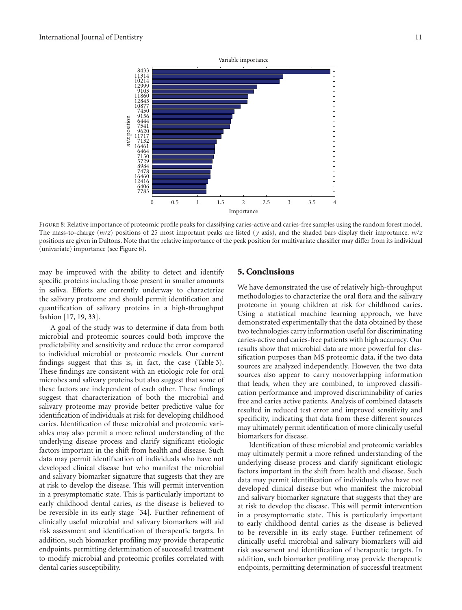

FIGURE 8: Relative importance of proteomic profile peaks for classifying caries-active and caries-free samples using the random forest model. The mass-to-charge (*m/z*) positions of 25 most important peaks are listed (*y* axis), and the shaded bars display their importance. *m/z* positions are given in Daltons. Note that the relative importance of the peak position for multivariate classifier may differ from its individual (univariate) importance (see Figure 6).

may be improved with the ability to detect and identify specific proteins including those present in smaller amounts in saliva. Efforts are currently underway to characterize the salivary proteome and should permit identification and quantification of salivary proteins in a high-throughput fashion [17, 19, 33].

A goal of the study was to determine if data from both microbial and proteomic sources could both improve the predictability and sensitivity and reduce the error compared to individual microbial or proteomic models. Our current findings suggest that this is, in fact, the case (Table 3). These findings are consistent with an etiologic role for oral microbes and salivary proteins but also suggest that some of these factors are independent of each other. These findings suggest that characterization of both the microbial and salivary proteome may provide better predictive value for identification of individuals at risk for developing childhood caries. Identification of these microbial and proteomic variables may also permit a more refined understanding of the underlying disease process and clarify significant etiologic factors important in the shift from health and disease. Such data may permit identification of individuals who have not developed clinical disease but who manifest the microbial and salivary biomarker signature that suggests that they are at risk to develop the disease. This will permit intervention in a presymptomatic state. This is particularly important to early childhood dental caries, as the disease is believed to be reversible in its early stage [34]. Further refinement of clinically useful microbial and salivary biomarkers will aid risk assessment and identification of therapeutic targets. In addition, such biomarker profiling may provide therapeutic endpoints, permitting determination of successful treatment to modify microbial and proteomic profiles correlated with dental caries susceptibility.

### 5. Conclusions

We have demonstrated the use of relatively high-throughput methodologies to characterize the oral flora and the salivary proteome in young children at risk for childhood caries. Using a statistical machine learning approach, we have demonstrated experimentally that the data obtained by these two technologies carry information useful for discriminating caries-active and caries-free patients with high accuracy. Our results show that microbial data are more powerful for classification purposes than MS proteomic data, if the two data sources are analyzed independently. However, the two data sources also appear to carry nonoverlapping information that leads, when they are combined, to improved classification performance and improved discriminability of caries free and caries active patients. Analysis of combined datasets resulted in reduced test error and improved sensitivity and specificity, indicating that data from these different sources may ultimately permit identification of more clinically useful biomarkers for disease.

Identification of these microbial and proteomic variables may ultimately permit a more refined understanding of the underlying disease process and clarify significant etiologic factors important in the shift from health and disease. Such data may permit identification of individuals who have not developed clinical disease but who manifest the microbial and salivary biomarker signature that suggests that they are at risk to develop the disease. This will permit intervention in a presymptomatic state. This is particularly important to early childhood dental caries as the disease is believed to be reversible in its early stage. Further refinement of clinically useful microbial and salivary biomarkers will aid risk assessment and identification of therapeutic targets. In addition, such biomarker profiling may provide therapeutic endpoints, permitting determination of successful treatment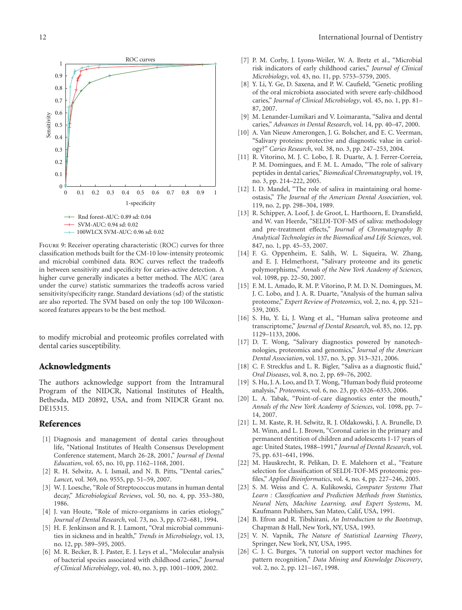

Figure 9: Receiver operating characteristic (ROC) curves for three classification methods built for the CM-10 low-intensity proteomic and microbial combined data. ROC curves reflect the tradeoffs in between sensitivity and specificity for caries-active detection. A higher curve generally indicates a better method. The AUC (area under the curve) statistic summarizes the tradeoffs across varied sensitivity/specificity range. Standard deviations (sd) of the statistic are also reported. The SVM based on only the top 100 Wilcoxonscored features appears to be the best method.

to modify microbial and proteomic profiles correlated with dental caries susceptibility.

#### Acknowledgments

The authors acknowledge support from the Intramural Program of the NIDCR, National Institutes of Health, Bethesda, MD 20892, USA, and from NIDCR Grant no. DE15315.

#### References

- [1] Diagnosis and management of dental caries throughout life, "National Institutes of Health Consensus Development Conference statement, March 26-28, 2001," *Journal of Dental Education*, vol. 65, no. 10, pp. 1162–1168, 2001.
- [2] R. H. Selwitz, A. I. Ismail, and N. B. Pitts, "Dental caries," *Lancet*, vol. 369, no. 9555, pp. 51–59, 2007.
- [3] W. J. Loesche, "Role of Streptococcus mutans in human dental decay," *Microbiological Reviews*, vol. 50, no. 4, pp. 353–380, 1986.
- [4] J. van Houte, "Role of micro-organisms in caries etiology," *Journal of Dental Research*, vol. 73, no. 3, pp. 672–681, 1994.
- [5] H. F. Jenkinson and R. J. Lamont, "Oral microbial communities in sickness and in health," *Trends in Microbiology*, vol. 13, no. 12, pp. 589–595, 2005.
- [6] M. R. Becker, B. J. Paster, E. J. Leys et al., "Molecular analysis of bacterial species associated with childhood caries," *Journal of Clinical Microbiology*, vol. 40, no. 3, pp. 1001–1009, 2002.
- [7] P. M. Corby, J. Lyons-Weiler, W. A. Bretz et al., "Microbial risk indicators of early childhood caries," *Journal of Clinical Microbiology*, vol. 43, no. 11, pp. 5753–5759, 2005.
- [8] Y. Li, Y. Ge, D. Saxena, and P. W. Caufield, "Genetic profiling of the oral microbiota associated with severe early-childhood caries," *Journal of Clinical Microbiology*, vol. 45, no. 1, pp. 81– 87, 2007.
- [9] M. Lenander-Lumikari and V. Loimaranta, "Saliva and dental caries," *Advances in Dental Research*, vol. 14, pp. 40–47, 2000.
- [10] A. Van Nieuw Amerongen, J. G. Bolscher, and E. C. Veerman, "Salivary proteins: protective and diagnostic value in cariology?" *Caries Research*, vol. 38, no. 3, pp. 247–253, 2004.
- [11] R. Vitorino, M. J. C. Lobo, J. R. Duarte, A. J. Ferrer-Correia, P. M. Domingues, and F. M. L. Amado, "The role of salivary peptides in dental caries," *Biomedical Chromatography*, vol. 19, no. 3, pp. 214–222, 2005.
- [12] I. D. Mandel, "The role of saliva in maintaining oral homeostasis," *The Journal of the American Dental Association*, vol. 119, no. 2, pp. 298–304, 1989.
- [13] R. Schipper, A. Loof, J. de Groot, L. Harthoorn, E. Dransfield, and W. van Heerde, "SELDI-TOF-MS of saliva: methodology and pre-treatment effects," *Journal of Chromatography B: Analytical Technologies in the Biomedical and Life Sciences*, vol. 847, no. 1, pp. 45–53, 2007.
- [14] F. G. Oppenheim, E. Salih, W. L. Siqueira, W. Zhang, and E. J. Helmerhorst, "Salivary proteome and its genetic polymorphisms," *Annals of the New York Academy of Sciences*, vol. 1098, pp. 22–50, 2007.
- [15] F. M. L. Amado, R. M. P. Vitorino, P. M. D. N. Domingues, M. J. C. Lobo, and J. A. R. Duarte, "Analysis of the human saliva proteome," *Expert Review of Proteomics*, vol. 2, no. 4, pp. 521– 539, 2005.
- [16] S. Hu, Y. Li, J. Wang et al., "Human saliva proteome and transcriptome," *Journal of Dental Research*, vol. 85, no. 12, pp. 1129–1133, 2006.
- [17] D. T. Wong, "Salivary diagnostics powered by nanotechnologies, proteomics and genomics," *Journal of the American Dental Association*, vol. 137, no. 3, pp. 313–321, 2006.
- [18] C. F. Streckfus and L. R. Bigler, "Saliva as a diagnostic fluid," *Oral Diseases*, vol. 8, no. 2, pp. 69–76, 2002.
- [19] S. Hu, J. A. Loo, and D. T. Wong, "Human body fluid proteome analysis," *Proteomics*, vol. 6, no. 23, pp. 6326–6353, 2006.
- [20] L. A. Tabak, "Point-of-care diagnostics enter the mouth," *Annals of the New York Academy of Sciences*, vol. 1098, pp. 7– 14, 2007.
- [21] L. M. Kaste, R. H. Selwitz, R. J. Oldakowski, J. A. Brunelle, D. M. Winn, and L. J. Brown, "Coronal caries in the primary and permanent dentition of children and adolescents 1-17 years of age: United States, 1988–1991," *Journal of Dental Research*, vol. 75, pp. 631–641, 1996.
- [22] M. Hauskrecht, R. Pelikan, D. E. Malehorn et al., "Feature selection for classification of SELDI-TOF-MS proteomic profiles," *Applied Bioinformatics*, vol. 4, no. 4, pp. 227–246, 2005.
- [23] S. M. Weiss and C. A. Kulikowski, *Computer Systems That Learn : Classification and Prediction Methods from Statistics, Neural Nets, Machine Learning, and Expert Systems*, M. Kaufmann Publishers, San Mateo, Calif, USA, 1991.
- [24] B. Efron and R. Tibshirani, *An Introduction to the Bootstrap*, Chapman & Hall, New York, NY, USA, 1993.
- [25] V. N. Vapnik, *The Nature of Statistical Learning Theory*, Springer, New York, NY, USA, 1995.
- [26] C. J. C. Burges, "A tutorial on support vector machines for pattern recognition," *Data Mining and Knowledge Discovery*, vol. 2, no. 2, pp. 121–167, 1998.